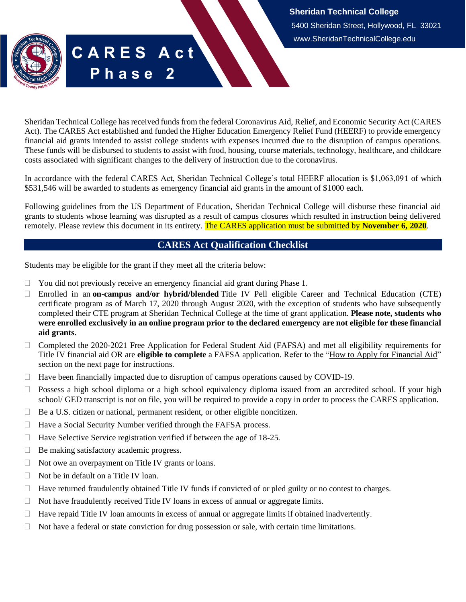Sheridan Technical College has received funds from the federal Coronavirus Aid, Relief, and Economic Security Act (CARES Act). The CARES Act established and funded the Higher Education Emergency Relief Fund (HEERF) to provide emergency financial aid grants intended to assist college students with expenses incurred due to the disruption of campus operations. These funds will be disbursed to students to assist with food, housing, course materials, technology, healthcare, and childcare costs associated with significant changes to the delivery of instruction due to the coronavirus.

In accordance with the federal CARES Act, Sheridan Technical College's total HEERF allocation is \$1,063,091 of which \$531,546 will be awarded to students as emergency financial aid grants in the amount of \$1000 each.

Following guidelines from the US Department of Education, Sheridan Technical College will disburse these financial aid grants to students whose learning was disrupted as a result of campus closures which resulted in instruction being delivered remotely. Please review this document in its entirety. The CARES application must be submitted by **November 6, 2020**.

# **CARES Act Qualification Checklist**

<span id="page-0-0"></span>Students may be eligible for the grant if they meet all the criteria below:

**C A R E S A c t**

**P h a s e 2**

- $\Box$  You did not previously receive an emergency financial aid grant during Phase 1.
- Enrolled in an **on-campus and/or hybrid/blended** Title IV Pell eligible Career and Technical Education (CTE) certificate program as of March 17, 2020 through August 2020, with the exception of students who have subsequently completed their CTE program at Sheridan Technical College at the time of grant application. **Please note, students who were enrolled exclusively in an online program prior to the declared emergency are not eligible for these financial aid grants**.
- $\Box$  Completed the 2020-2021 Free Application for Federal Student Aid (FAFSA) and met all eligibility requirements for Title IV financial aid OR are **eligible to complete** a FAFSA application. Refer to the ["How to Apply for Financial Aid"](#page-1-0) section on the next page for instructions.
- $\Box$  Have been financially impacted due to disruption of campus operations caused by COVID-19.
- $\Box$  Possess a high school diploma or a high school equivalency diploma issued from an accredited school. If your high school/ GED transcript is not on file, you will be required to provide a copy in order to process the CARES application.
- $\Box$  Be a U.S. citizen or national, permanent resident, or other eligible noncitizen.
- $\Box$  Have a Social Security Number verified through the FAFSA process.
- $\Box$  Have Selective Service registration verified if between the age of 18-25.
- □ Be making satisfactory academic progress.
- $\Box$  Not owe an overpayment on Title IV grants or loans.
- $\Box$  Not be in default on a Title IV loan.
- $\Box$  Have returned fraudulently obtained Title IV funds if convicted of or pled guilty or no contest to charges.
- $\Box$  Not have fraudulently received Title IV loans in excess of annual or aggregate limits.
- $\Box$  Have repaid Title IV loan amounts in excess of annual or aggregate limits if obtained inadvertently.
- $\Box$  Not have a federal or state conviction for drug possession or sale, with certain time limitations.